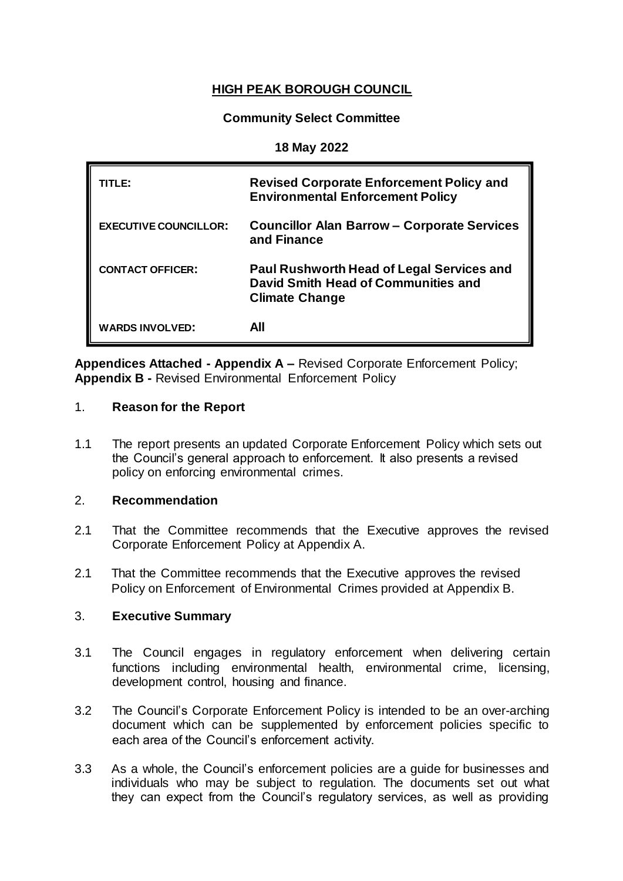# **HIGH PEAK BOROUGH COUNCIL**

## **Community Select Committee**

#### **18 May 2022**

| TITLE:                       | <b>Revised Corporate Enforcement Policy and</b><br><b>Environmental Enforcement Policy</b>                       |
|------------------------------|------------------------------------------------------------------------------------------------------------------|
| <b>EXECUTIVE COUNCILLOR:</b> | <b>Councillor Alan Barrow – Corporate Services</b><br>and Finance                                                |
| <b>CONTACT OFFICER:</b>      | <b>Paul Rushworth Head of Legal Services and</b><br>David Smith Head of Communities and<br><b>Climate Change</b> |
| <b>WARDS INVOLVED:</b>       | All                                                                                                              |

**Appendices Attached - Appendix A –** Revised Corporate Enforcement Policy; **Appendix B -** Revised Environmental Enforcement Policy

#### 1. **Reason for the Report**

1.1 The report presents an updated Corporate Enforcement Policy which sets out the Council's general approach to enforcement. It also presents a revised policy on enforcing environmental crimes.

#### 2. **Recommendation**

- 2.1 That the Committee recommends that the Executive approves the revised Corporate Enforcement Policy at Appendix A.
- 2.1 That the Committee recommends that the Executive approves the revised Policy on Enforcement of Environmental Crimes provided at Appendix B.

## 3. **Executive Summary**

- 3.1 The Council engages in regulatory enforcement when delivering certain functions including environmental health, environmental crime, licensing, development control, housing and finance.
- 3.2 The Council's Corporate Enforcement Policy is intended to be an over-arching document which can be supplemented by enforcement policies specific to each area of the Council's enforcement activity.
- 3.3 As a whole, the Council's enforcement policies are a guide for businesses and individuals who may be subject to regulation. The documents set out what they can expect from the Council's regulatory services, as well as providing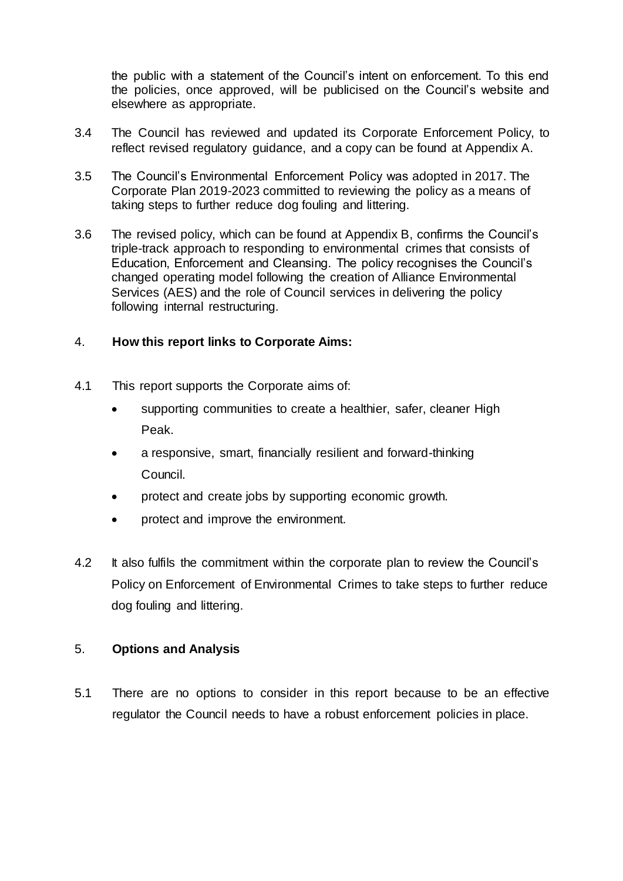the public with a statement of the Council's intent on enforcement. To this end the policies, once approved, will be publicised on the Council's website and elsewhere as appropriate.

- 3.4 The Council has reviewed and updated its Corporate Enforcement Policy, to reflect revised regulatory guidance, and a copy can be found at Appendix A.
- 3.5 The Council's Environmental Enforcement Policy was adopted in 2017. The Corporate Plan 2019-2023 committed to reviewing the policy as a means of taking steps to further reduce dog fouling and littering.
- 3.6 The revised policy, which can be found at Appendix B, confirms the Council's triple-track approach to responding to environmental crimes that consists of Education, Enforcement and Cleansing. The policy recognises the Council's changed operating model following the creation of Alliance Environmental Services (AES) and the role of Council services in delivering the policy following internal restructuring.

## 4. **How this report links to Corporate Aims:**

- 4.1 This report supports the Corporate aims of:
	- supporting communities to create a healthier, safer, cleaner High Peak.
	- a responsive, smart, financially resilient and forward-thinking Council.
	- protect and create jobs by supporting economic growth.
	- protect and improve the environment.
- 4.2 It also fulfils the commitment within the corporate plan to review the Council's Policy on Enforcement of Environmental Crimes to take steps to further reduce dog fouling and littering.

## 5. **Options and Analysis**

5.1 There are no options to consider in this report because to be an effective regulator the Council needs to have a robust enforcement policies in place.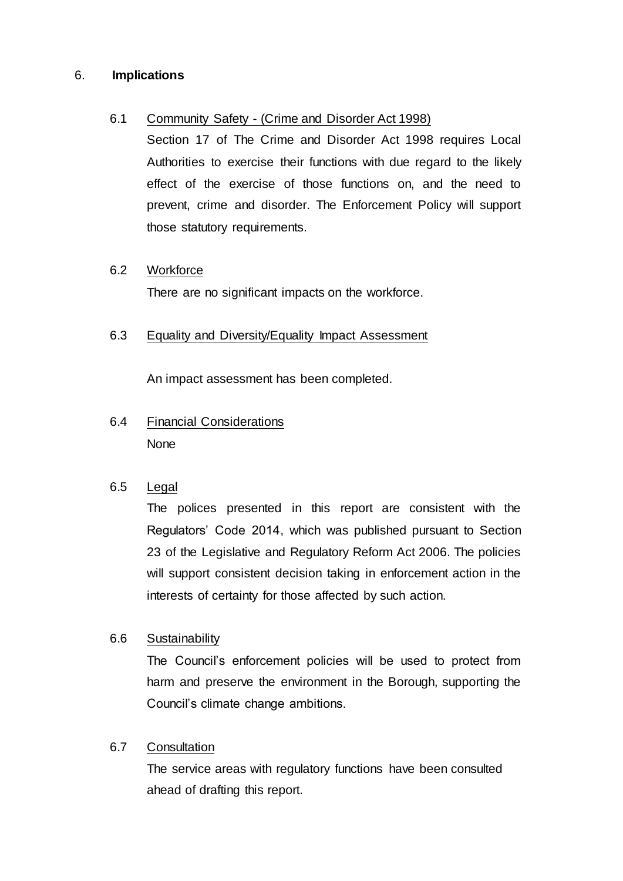## 6. **Implications**

## 6.1 Community Safety - (Crime and Disorder Act 1998)

Section 17 of The Crime and Disorder Act 1998 requires Local Authorities to exercise their functions with due regard to the likely effect of the exercise of those functions on, and the need to prevent, crime and disorder. The Enforcement Policy will support those statutory requirements.

## 6.2 Workforce

There are no significant impacts on the workforce.

# 6.3 Equality and Diversity/Equality Impact Assessment

An impact assessment has been completed.

# 6.4 Financial Considerations **None**

# 6.5 Legal

The polices presented in this report are consistent with the Regulators' Code 2014, which was published pursuant to Section 23 of the Legislative and Regulatory Reform Act 2006. The policies will support consistent decision taking in enforcement action in the interests of certainty for those affected by such action.

# 6.6 Sustainability

The Council's enforcement policies will be used to protect from harm and preserve the environment in the Borough, supporting the Council's climate change ambitions.

# 6.7 Consultation

The service areas with regulatory functions have been consulted ahead of drafting this report.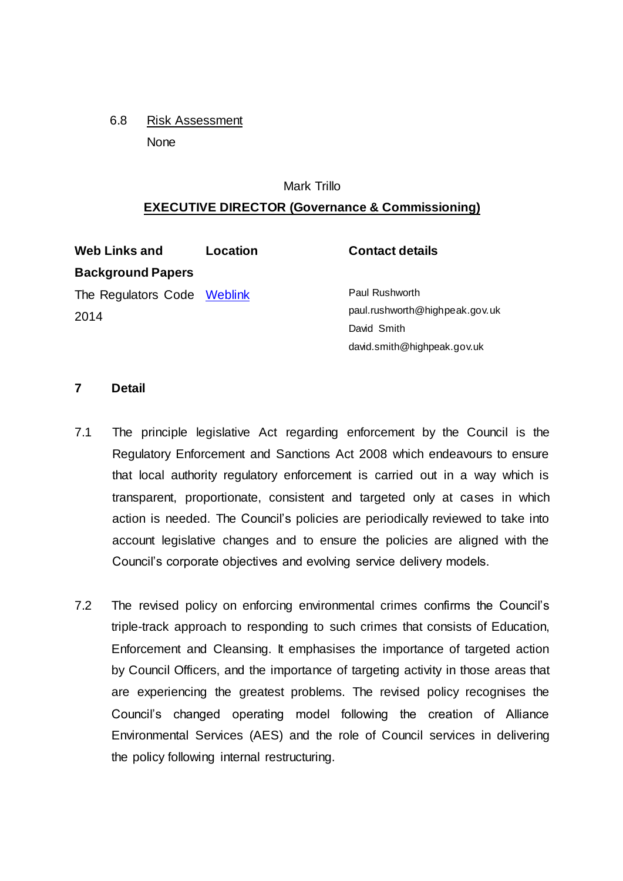6.8 Risk Assessment None

#### Mark Trillo

#### **EXECUTIVE DIRECTOR (Governance & Commissioning)**

| <b>Web Links and</b>        | Location | <b>Contact details</b>         |
|-----------------------------|----------|--------------------------------|
| <b>Background Papers</b>    |          |                                |
| The Regulators Code Weblink |          | Paul Rushworth                 |
| 2014                        |          | paul.rushworth@highpeak.gov.uk |
|                             |          | David Smith                    |
|                             |          | david.smith@highpeak.gov.uk    |

#### **7 Detail**

- 7.1 The principle legislative Act regarding enforcement by the Council is the Regulatory Enforcement and Sanctions Act 2008 which endeavours to ensure that local authority regulatory enforcement is carried out in a way which is transparent, proportionate, consistent and targeted only at cases in which action is needed. The Council's policies are periodically reviewed to take into account legislative changes and to ensure the policies are aligned with the Council's corporate objectives and evolving service delivery models.
- 7.2 The revised policy on enforcing environmental crimes confirms the Council's triple-track approach to responding to such crimes that consists of Education, Enforcement and Cleansing. It emphasises the importance of targeted action by Council Officers, and the importance of targeting activity in those areas that are experiencing the greatest problems. The revised policy recognises the Council's changed operating model following the creation of Alliance Environmental Services (AES) and the role of Council services in delivering the policy following internal restructuring.